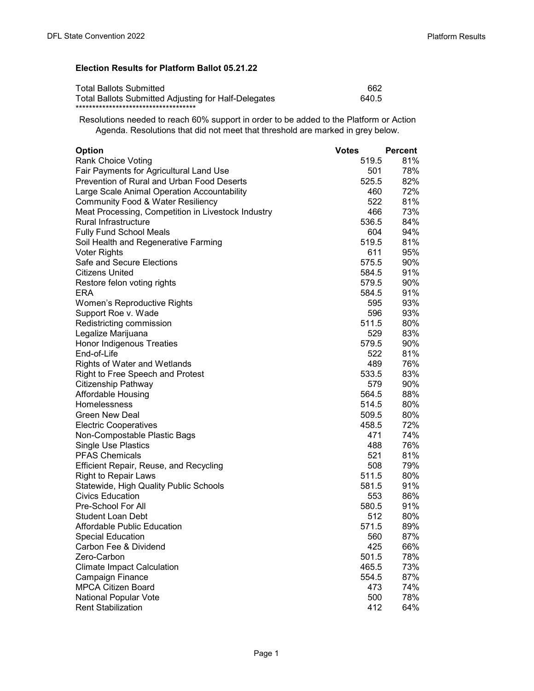## Election Results for Platform Ballot 05.21.22

| <b>Total Ballots Submitted</b>                              | 662   |
|-------------------------------------------------------------|-------|
| <b>Total Ballots Submitted Adjusting for Half-Delegates</b> | 640.5 |
| *************************************                       |       |

Resolutions needed to reach 60% support in order to be added to the Platform or Action Agenda. Resolutions that did not meet that threshold are marked in grey below.

| <b>Option</b>                                      | <b>Votes</b> | Percent |
|----------------------------------------------------|--------------|---------|
| <b>Rank Choice Voting</b>                          | 519.5        | 81%     |
| Fair Payments for Agricultural Land Use            | 501          | 78%     |
| Prevention of Rural and Urban Food Deserts         | 525.5        | 82%     |
| Large Scale Animal Operation Accountability        | 460          | 72%     |
| <b>Community Food &amp; Water Resiliency</b>       | 522          | 81%     |
| Meat Processing, Competition in Livestock Industry | 466          | 73%     |
| Rural Infrastructure                               | 536.5        | 84%     |
| <b>Fully Fund School Meals</b>                     | 604          | 94%     |
| Soil Health and Regenerative Farming               | 519.5        | 81%     |
| <b>Voter Rights</b>                                | 611          | 95%     |
| Safe and Secure Elections                          | 575.5        | 90%     |
| Citizens United                                    | 584.5        | 91%     |
| Restore felon voting rights                        | 579.5        | 90%     |
| ERA                                                | 584.5        | 91%     |
| Women's Reproductive Rights                        | 595          | 93%     |
| Support Roe v. Wade                                | 596          | 93%     |
| Redistricting commission                           | 511.5        | 80%     |
| Legalize Marijuana                                 | 529          | 83%     |
| Honor Indigenous Treaties                          | 579.5        | 90%     |
| End-of-Life                                        | 522          | 81%     |
| Rights of Water and Wetlands                       | 489          | 76%     |
| Right to Free Speech and Protest                   | 533.5        | 83%     |
| Citizenship Pathway                                | 579          | 90%     |
| Affordable Housing                                 | 564.5        | 88%     |
| <b>Homelessness</b>                                | 514.5        | 80%     |
| <b>Green New Deal</b>                              | 509.5        | 80%     |
| <b>Electric Cooperatives</b>                       | 458.5        | 72%     |
| Non-Compostable Plastic Bags                       | 471 —        | 74%     |
| <b>Single Use Plastics</b>                         | 488          | 76%     |
| <b>PFAS Chemicals</b>                              | 521          | 81%     |
|                                                    | 508          | 79%     |
| Efficient Repair, Reuse, and Recycling             | 511.5        | 80%     |
| <b>Right to Repair Laws</b>                        |              | 91%     |
| Statewide, High Quality Public Schools             | 581.5<br>553 | 86%     |
| <b>Civics Education</b><br>Pre-School For All      |              |         |
|                                                    | 580.5        | 91%     |
| <b>Student Loan Debt</b>                           | 512          | 80%     |
| <b>Affordable Public Education</b>                 | 571.5        | 89%     |
| Special Education                                  | 560          | 87%     |
| Carbon Fee & Dividend                              | 425          | 66%     |
| Zero-Carbon                                        | 501.5        | 78%     |
| <b>Climate Impact Calculation</b>                  | 465.5        | 73%     |
| Campaign Finance                                   | 554.5        | 87%     |
| <b>MPCA Citizen Board</b>                          | 473          | 74%     |
| National Popular Vote                              | 500          | 78%     |
| <b>Rent Stabilization</b>                          | 412          | 64%     |